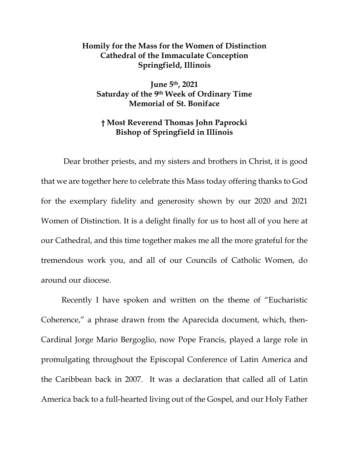## **Homily for the Mass for the Women of Distinction Cathedral of the Immaculate Conception Springfield, Illinois**

**June 5th, 2021 Saturday of the 9th Week of Ordinary Time Memorial of St. Boniface** 

## **† Most Reverend Thomas John Paprocki Bishop of Springfield in Illinois**

 Dear brother priests, and my sisters and brothers in Christ, it is good that we are together here to celebrate this Mass today offering thanks to God for the exemplary fidelity and generosity shown by our 2020 and 2021 Women of Distinction. It is a delight finally for us to host all of you here at our Cathedral, and this time together makes me all the more grateful for the tremendous work you, and all of our Councils of Catholic Women, do around our diocese.

Recently I have spoken and written on the theme of "Eucharistic Coherence," a phrase drawn from the Aparecida document, which, then-Cardinal Jorge Mario Bergoglio, now Pope Francis, played a large role in promulgating throughout the Episcopal Conference of Latin America and the Caribbean back in 2007. It was a declaration that called all of Latin America back to a full-hearted living out of the Gospel, and our Holy Father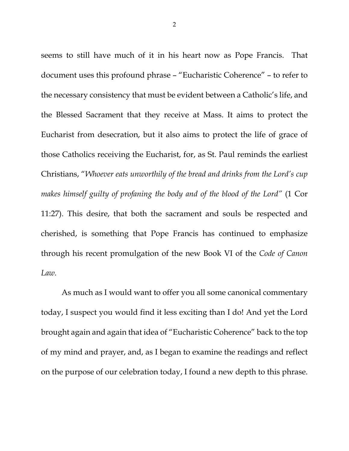seems to still have much of it in his heart now as Pope Francis. That document uses this profound phrase – "Eucharistic Coherence" – to refer to the necessary consistency that must be evident between a Catholic's life, and the Blessed Sacrament that they receive at Mass. It aims to protect the Eucharist from desecration, but it also aims to protect the life of grace of those Catholics receiving the Eucharist, for, as St. Paul reminds the earliest Christians, "*Whoever eats unworthily of the bread and drinks from the Lord's cup makes himself guilty of profaning the body and of the blood of the Lord"* (1 Cor 11:27). This desire, that both the sacrament and souls be respected and cherished, is something that Pope Francis has continued to emphasize through his recent promulgation of the new Book VI of the *Code of Canon Law.*

As much as I would want to offer you all some canonical commentary today, I suspect you would find it less exciting than I do! And yet the Lord brought again and again that idea of "Eucharistic Coherence" back to the top of my mind and prayer, and, as I began to examine the readings and reflect on the purpose of our celebration today, I found a new depth to this phrase.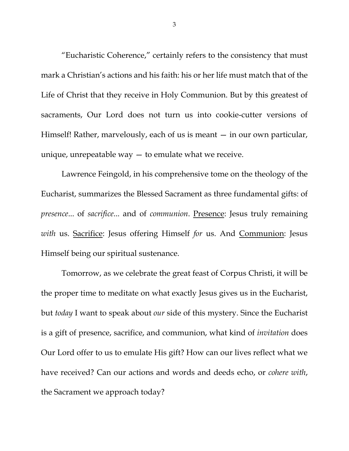"Eucharistic Coherence," certainly refers to the consistency that must mark a Christian's actions and his faith: his or her life must match that of the Life of Christ that they receive in Holy Communion. But by this greatest of sacraments, Our Lord does not turn us into cookie-cutter versions of Himself! Rather, marvelously, each of us is meant – in our own particular, unique, unrepeatable way — to emulate what we receive.

Lawrence Feingold, in his comprehensive tome on the theology of the Eucharist, summarizes the Blessed Sacrament as three fundamental gifts: of *presence...* of *sacrifice...* and of *communion*. **Presence:** Jesus truly remaining *with* us. Sacrifice: Jesus offering Himself *for* us. And Communion: Jesus Himself being our spiritual sustenance.

Tomorrow, as we celebrate the great feast of Corpus Christi, it will be the proper time to meditate on what exactly Jesus gives us in the Eucharist, but *today* I want to speak about *our* side of this mystery. Since the Eucharist is a gift of presence, sacrifice, and communion, what kind of *invitation* does Our Lord offer to us to emulate His gift? How can our lives reflect what we have received? Can our actions and words and deeds echo, or *cohere with*, the Sacrament we approach today?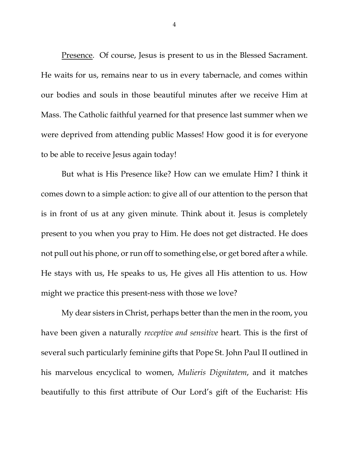Presence. Of course, Jesus is present to us in the Blessed Sacrament. He waits for us, remains near to us in every tabernacle, and comes within our bodies and souls in those beautiful minutes after we receive Him at Mass. The Catholic faithful yearned for that presence last summer when we were deprived from attending public Masses! How good it is for everyone to be able to receive Jesus again today!

But what is His Presence like? How can we emulate Him? I think it comes down to a simple action: to give all of our attention to the person that is in front of us at any given minute. Think about it. Jesus is completely present to you when you pray to Him. He does not get distracted. He does not pull out his phone, or run off to something else, or get bored after a while. He stays with us, He speaks to us, He gives all His attention to us. How might we practice this present-ness with those we love?

My dear sisters in Christ, perhaps better than the men in the room, you have been given a naturally *receptive and sensitive* heart. This is the first of several such particularly feminine gifts that Pope St. John Paul II outlined in his marvelous encyclical to women, *Mulieris Dignitatem*, and it matches beautifully to this first attribute of Our Lord's gift of the Eucharist: His

4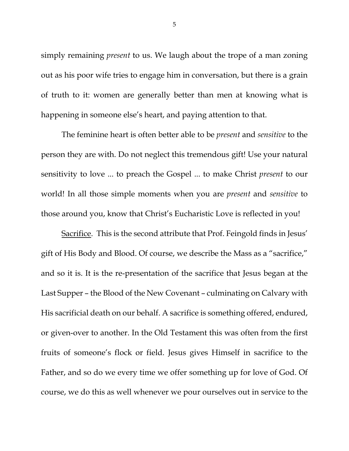simply remaining *present* to us. We laugh about the trope of a man zoning out as his poor wife tries to engage him in conversation, but there is a grain of truth to it: women are generally better than men at knowing what is happening in someone else's heart, and paying attention to that.

The feminine heart is often better able to be *present* and *sensitive* to the person they are with. Do not neglect this tremendous gift! Use your natural sensitivity to love ... to preach the Gospel ... to make Christ *present* to our world! In all those simple moments when you are *present* and *sensitive* to those around you, know that Christ's Eucharistic Love is reflected in you!

Sacrifice. This is the second attribute that Prof. Feingold finds in Jesus' gift of His Body and Blood. Of course, we describe the Mass as a "sacrifice," and so it is. It is the re-presentation of the sacrifice that Jesus began at the Last Supper – the Blood of the New Covenant – culminating on Calvary with His sacrificial death on our behalf. A sacrifice is something offered, endured, or given-over to another. In the Old Testament this was often from the first fruits of someone's flock or field. Jesus gives Himself in sacrifice to the Father, and so do we every time we offer something up for love of God. Of course, we do this as well whenever we pour ourselves out in service to the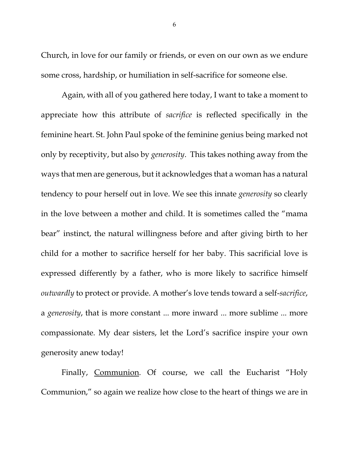Church, in love for our family or friends, or even on our own as we endure some cross, hardship, or humiliation in self-sacrifice for someone else.

Again, with all of you gathered here today, I want to take a moment to appreciate how this attribute of *sacrifice* is reflected specifically in the feminine heart. St. John Paul spoke of the feminine genius being marked not only by receptivity, but also by *generosity*. This takes nothing away from the ways that men are generous, but it acknowledges that a woman has a natural tendency to pour herself out in love. We see this innate *generosity* so clearly in the love between a mother and child. It is sometimes called the "mama bear" instinct, the natural willingness before and after giving birth to her child for a mother to sacrifice herself for her baby. This sacrificial love is expressed differently by a father, who is more likely to sacrifice himself *outwardly* to protect or provide. A mother's love tends toward a self-*sacrifice*, a *generosity*, that is more constant ... more inward ... more sublime ... more compassionate. My dear sisters, let the Lord's sacrifice inspire your own generosity anew today!

Finally, Communion. Of course, we call the Eucharist "Holy Communion," so again we realize how close to the heart of things we are in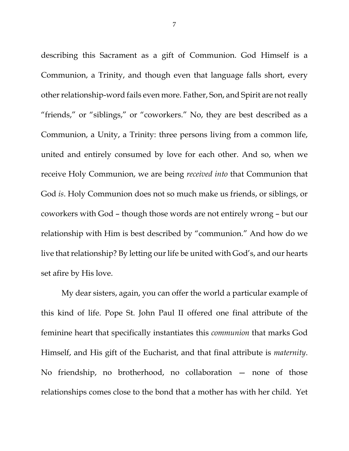describing this Sacrament as a gift of Communion. God Himself is a Communion, a Trinity, and though even that language falls short, every other relationship-word fails even more. Father, Son, and Spirit are not really "friends," or "siblings," or "coworkers." No, they are best described as a Communion, a Unity, a Trinity: three persons living from a common life, united and entirely consumed by love for each other. And so, when we receive Holy Communion, we are being *received into* that Communion that God *is*. Holy Communion does not so much make us friends, or siblings, or coworkers with God – though those words are not entirely wrong – but our relationship with Him is best described by "communion." And how do we live that relationship? By letting our life be united with God's, and our hearts set afire by His love.

My dear sisters, again, you can offer the world a particular example of this kind of life. Pope St. John Paul II offered one final attribute of the feminine heart that specifically instantiates this *communion* that marks God Himself, and His gift of the Eucharist, and that final attribute is *maternity*. No friendship, no brotherhood, no collaboration — none of those relationships comes close to the bond that a mother has with her child. Yet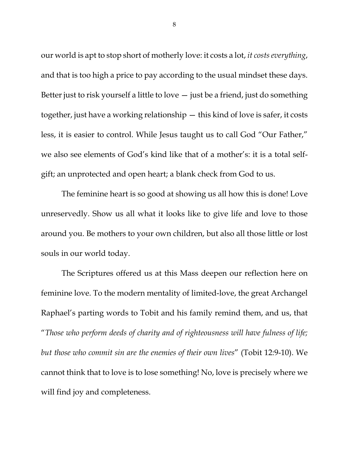our world is apt to stop short of motherly love: it costs a lot, *it costs everything*, and that is too high a price to pay according to the usual mindset these days. Better just to risk yourself a little to love — just be a friend, just do something together, just have a working relationship — this kind of love is safer, it costs less, it is easier to control. While Jesus taught us to call God "Our Father," we also see elements of God's kind like that of a mother's: it is a total selfgift; an unprotected and open heart; a blank check from God to us.

The feminine heart is so good at showing us all how this is done! Love unreservedly. Show us all what it looks like to give life and love to those around you. Be mothers to your own children, but also all those little or lost souls in our world today.

The Scriptures offered us at this Mass deepen our reflection here on feminine love. To the modern mentality of limited-love, the great Archangel Raphael's parting words to Tobit and his family remind them, and us, that "*Those who perform deeds of charity and of righteousness will have fulness of life; but those who commit sin are the enemies of their own lives*" (Tobit 12:9-10). We cannot think that to love is to lose something! No, love is precisely where we will find joy and completeness.